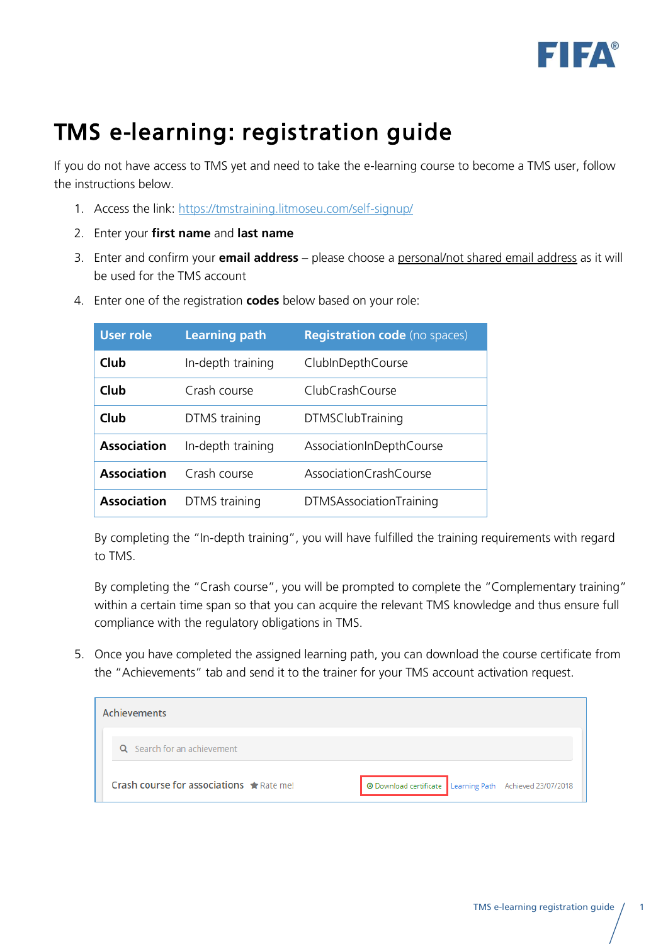

## TMS e-learning: registration guide

If you do not have access to TMS yet and need to take the e-learning course to become a TMS user, follow the instructions below.

- 1. Access the link:<https://tmstraining.litmoseu.com/self-signup/>
- 2. Enter your **first name** and **last name**
- 3. Enter and confirm your **email address** please choose a personal/not shared email address as it will be used for the TMS account
- 4. Enter one of the registration **codes** below based on your role:

| <b>User role</b>   | <b>Learning path</b> | <b>Registration code</b> (no spaces) |
|--------------------|----------------------|--------------------------------------|
| Club               | In-depth training    | ClubInDepthCourse                    |
| Club               | Crash course         | ClubCrashCourse                      |
| Club               | DTMS training        | <b>DTMSClubTraining</b>              |
| <b>Association</b> | In-depth training    | AssociationInDepthCourse             |
| <b>Association</b> | Crash course         | AssociationCrashCourse               |
| <b>Association</b> | DTMS training        | <b>DTMSAssociationTraining</b>       |

By completing the "In-depth training", you will have fulfilled the training requirements with regard to TMS.

By completing the "Crash course", you will be prompted to complete the "Complementary training" within a certain time span so that you can acquire the relevant TMS knowledge and thus ensure full compliance with the regulatory obligations in TMS.

5. Once you have completed the assigned learning path, you can download the course certificate from the "Achievements" tab and send it to the trainer for your TMS account activation request.